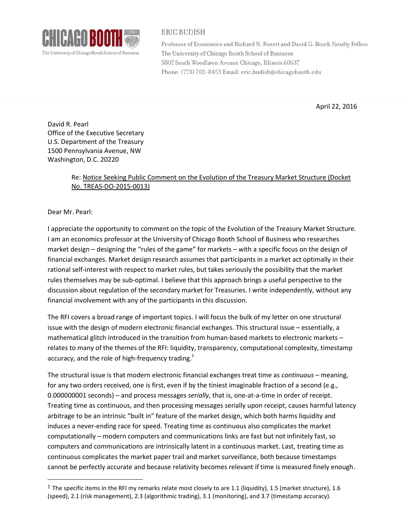

## **ERIC BUDISH**

Professor of Economics and Richard N. Rosett and David G. Booth Faculty Fellow The University of Chicago Booth School of Business 5807 South Woodlawn Avenue Chicago, Illinois 60637 Phone: (773) 702-8453 Email: eric.budish@chicagobooth.edu

April 22, 2016

David R. Pearl Office of the Executive Secretary U.S. Department of the Treasury 1500 Pennsylvania Avenue, NW Washington, D.C. 20220

## Re: Notice Seeking Public Comment on the Evolution of the Treasury Market Structure (Docket No. TREAS-DO-2015-0013)

Dear Mr. Pearl:

 $\overline{a}$ 

I appreciate the opportunity to comment on the topic of the Evolution of the Treasury Market Structure. I am an economics professor at the University of Chicago Booth School of Business who researches market design – designing the "rules of the game" for markets – with a specific focus on the design of financial exchanges. Market design research assumes that participants in a market act optimally in their rational self-interest with respect to market rules, but takes seriously the possibility that the market rules themselves may be sub-optimal. I believe that this approach brings a useful perspective to the discussion about regulation of the secondary market for Treasuries. I write independently, without any financial involvement with any of the participants in this discussion.

The RFI covers a broad range of important topics. I will focus the bulk of my letter on one structural issue with the design of modern electronic financial exchanges. This structural issue – essentially, a mathematical glitch introduced in the transition from human-based markets to electronic markets – relates to many of the themes of the RFI: liquidity, transparency, computational complexity, timestamp accuracy, and the role of high-frequency trading.<sup>1</sup>

The structural issue is that modern electronic financial exchanges treat time as *continuous* – meaning, for any two orders received, one is first, even if by the tiniest imaginable fraction of a second (e.g., 0.000000001 seconds) – and process messages *serially*, that is, one-at-a-time in order of receipt. Treating time as continuous, and then processing messages serially upon receipt, causes harmful latency arbitrage to be an intrinsic "built in" feature of the market design, which both harms liquidity and induces a never-ending race for speed. Treating time as continuous also complicates the market computationally – modern computers and communications links are fast but not infinitely fast, so computers and communications are intrinsically latent in a continuous market. Last, treating time as continuous complicates the market paper trail and market surveillance, both because timestamps cannot be perfectly accurate and because relativity becomes relevant if time is measured finely enough.

<sup>&</sup>lt;sup>1</sup> The specific items in the RFI my remarks relate most closely to are 1.1 (liquidity), 1.5 (market structure), 1.6 (speed), 2.1 (risk management), 2.3 (algorithmic trading), 3.1 (monitoring), and 3.7 (timestamp accuracy).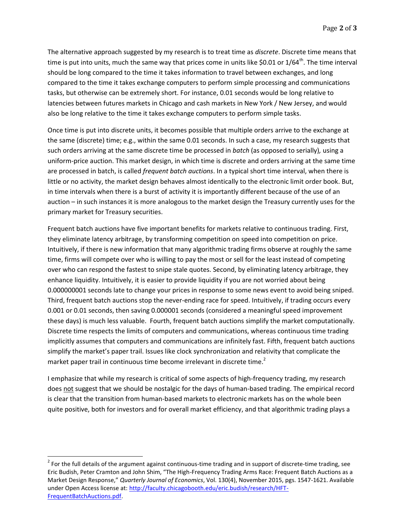The alternative approach suggested by my research is to treat time as *discrete*. Discrete time means that time is put into units, much the same way that prices come in units like \$0.01 or  $1/64^{\text{th}}$ . The time interval should be long compared to the time it takes information to travel between exchanges, and long compared to the time it takes exchange computers to perform simple processing and communications tasks, but otherwise can be extremely short. For instance, 0.01 seconds would be long relative to latencies between futures markets in Chicago and cash markets in New York / New Jersey, and would also be long relative to the time it takes exchange computers to perform simple tasks.

Once time is put into discrete units, it becomes possible that multiple orders arrive to the exchange at the same (discrete) time; e.g., within the same 0.01 seconds. In such a case, my research suggests that such orders arriving at the same discrete time be processed in *batch* (as opposed to serially)*,* using a uniform-price auction. This market design, in which time is discrete and orders arriving at the same time are processed in batch, is called *frequent batch auctions*. In a typical short time interval, when there is little or no activity, the market design behaves almost identically to the electronic limit order book. But, in time intervals when there is a burst of activity it is importantly different because of the use of an auction – in such instances it is more analogous to the market design the Treasury currently uses for the primary market for Treasury securities.

Frequent batch auctions have five important benefits for markets relative to continuous trading. First, they eliminate latency arbitrage, by transforming competition on speed into competition on price. Intuitively, if there is new information that many algorithmic trading firms observe at roughly the same time, firms will compete over who is willing to pay the most or sell for the least instead of competing over who can respond the fastest to snipe stale quotes. Second, by eliminating latency arbitrage, they enhance liquidity. Intuitively, it is easier to provide liquidity if you are not worried about being 0.000000001 seconds late to change your prices in response to some news event to avoid being sniped. Third, frequent batch auctions stop the never-ending race for speed. Intuitively, if trading occurs every 0.001 or 0.01 seconds, then saving 0.000001 seconds (considered a meaningful speed improvement these days) is much less valuable. Fourth, frequent batch auctions simplify the market computationally. Discrete time respects the limits of computers and communications, whereas continuous time trading implicitly assumes that computers and communications are infinitely fast. Fifth, frequent batch auctions simplify the market's paper trail. Issues like clock synchronization and relativity that complicate the market paper trail in continuous time become irrelevant in discrete time.<sup>2</sup>

I emphasize that while my research is critical of some aspects of high-frequency trading, my research does not suggest that we should be nostalgic for the days of human-based trading. The empirical record is clear that the transition from human-based markets to electronic markets has on the whole been quite positive, both for investors and for overall market efficiency, and that algorithmic trading plays a

 $\overline{a}$ 

 $2$  For the full details of the argument against continuous-time trading and in support of discrete-time trading, see Eric Budish, Peter Cramton and John Shim, "The High-Frequency Trading Arms Race: Frequent Batch Auctions as a Market Design Response," *Quarterly Journal of Economics*, Vol. 130(4), November 2015, pgs. 1547-1621. Available under Open Access license at[: http://faculty.chicagobooth.edu/eric.budish/research/HFT-](http://faculty.chicagobooth.edu/eric.budish/research/HFT-FrequentBatchAuctions.pdf)[FrequentBatchAuctions.pdf.](http://faculty.chicagobooth.edu/eric.budish/research/HFT-FrequentBatchAuctions.pdf)